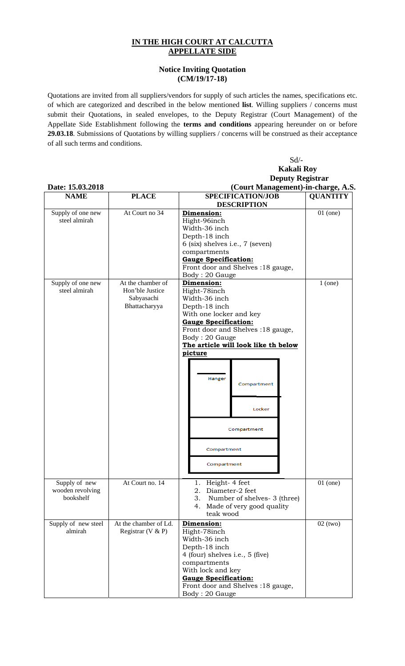## **IN THE HIGH COURT AT CALCUTTA APPELLATE SIDE**

## **Notice Inviting Quotation (CM/19/17-18)**

Quotations are invited from all suppliers/vendors for supply of such articles the names, specifications etc. of which are categorized and described in the below mentioned **list**. Willing suppliers / concerns must submit their Quotations, in sealed envelopes, to the Deputy Registrar (Court Management) of the Appellate Side Establishment following the **terms and conditions** appearing hereunder on or before **29.03.18**. Submissions of Quotations by willing suppliers / concerns will be construed as their acceptance of all such terms and conditions.

Sd/-

 **Kakali Roy Deputy Registrar Date: 15.03.2018** (Court Management)-in-charge, A.S.<br>
NAME PLACE SPECIFICATION/JOB QUANTITY **NAME PLACE SPECIFICATION/JOB QUANTITY DESCRIPTION**  Supply of one new At Court no 34 **Dimension:** 01 (one) Hight-96inch steel almirah Width-36 inch Depth-18 inch 6 (six) shelves i.e., 7 (seven) compartments **Gauge Specification:** Front door and Shelves :18 gauge, Body : 20 Gauge Supply of one new At the chamber of **Dimension:** 1 (one) steel almirah Hon'ble Justice Hight-78inch Sabyasachi Width-36 inch Bhattacharyya Depth-18 inch With one locker and key **Gauge Specification:** Front door and Shelves :18 gauge, Body : 20 Gauge **The article will look like th below picture**  Hanger Compartment Locker Compartment Compartment Compartment Supply of new At Court no. 14 1. Height- 4 feet 01 (one) wooden revolving 2. Diameter-2 feet bookshelf 3. Number of shelves- 3 (three) 4. Made of very good quality teak wood Supply of new steel At the chamber of Ld. 02 (two) **Dimension:** Registrar (V & P) Hight-78inch almirah Width-36 inch Depth-18 inch 4 (four) shelves i.e., 5 (five) compartments With lock and key **Gauge Specification:** Front door and Shelves :18 gauge,

Body : 20 Gauge